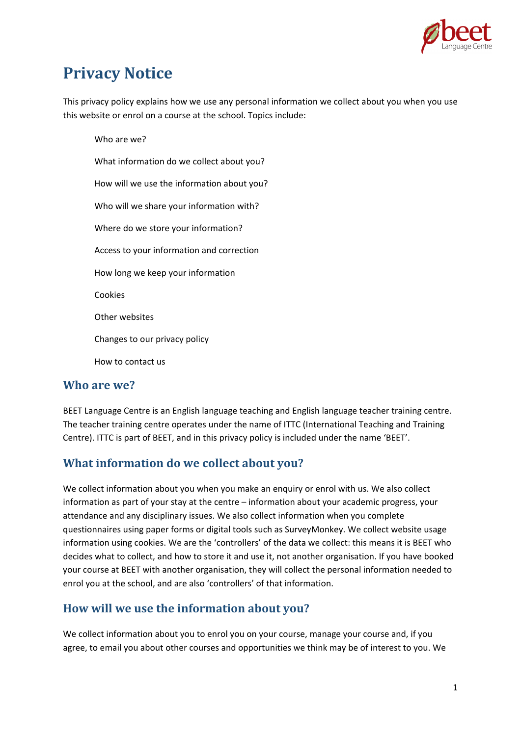

# **Privacy Notice**

This privacy policy explains how we use any personal information we collect about you when you use this website or enrol on a course at the school. Topics include:

Who are we? What information do we collect about you? How will we use the information about you? Who will we share your information with? Where do we store your information? Access to your information and correction How long we keep your information Cookies Other websites Changes to our privacy policy How to contact us

#### **Who are we?**

BEET Language Centre is an English language teaching and English language teacher training centre. The teacher training centre operates under the name of ITTC (International Teaching and Training Centre). ITTC is part of BEET, and in this privacy policy is included under the name 'BEET'.

# **What information do we collect about you?**

We collect information about you when you make an enquiry or enrol with us. We also collect information as part of your stay at the centre – information about your academic progress, your attendance and any disciplinary issues. We also collect information when you complete questionnaires using paper forms or digital tools such as SurveyMonkey. We collect website usage information using cookies. We are the 'controllers' of the data we collect: this means it is BEET who decides what to collect, and how to store it and use it, not another organisation. If you have booked your course at BEET with another organisation, they will collect the personal information needed to enrol you at the school, and are also 'controllers' of that information.

# **How will we use the information about you?**

We collect information about you to enrol you on your course, manage your course and, if you agree, to email you about other courses and opportunities we think may be of interest to you. We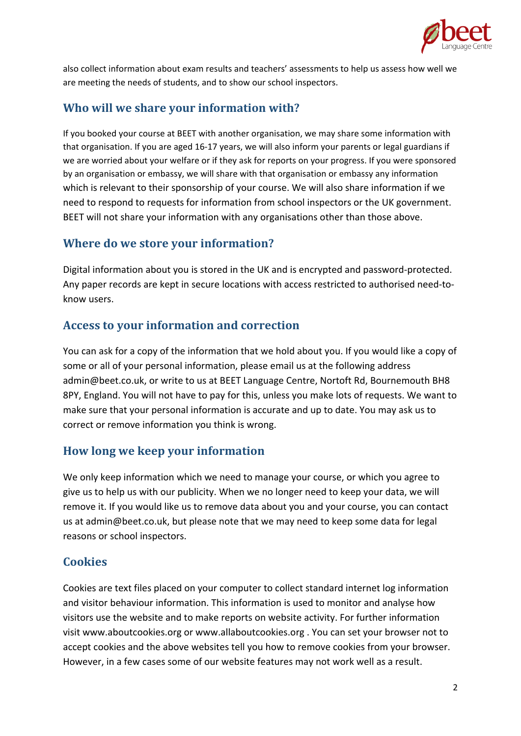

also collect information about exam results and teachers' assessments to help us assess how well we are meeting the needs of students, and to show our school inspectors.

## **Who will we share your information with?**

If you booked your course at BEET with another organisation, we may share some information with that organisation. If you are aged 16‐17 years, we will also inform your parents or legal guardians if we are worried about your welfare or if they ask for reports on your progress. If you were sponsored by an organisation or embassy, we will share with that organisation or embassy any information which is relevant to their sponsorship of your course. We will also share information if we need to respond to requests for information from school inspectors or the UK government. BEET will not share your information with any organisations other than those above.

## **Where do we store your information?**

Digital information about you is stored in the UK and is encrypted and password‐protected. Any paper records are kept in secure locations with access restricted to authorised need-toknow users.

## **Access to your information and correction**

You can ask for a copy of the information that we hold about you. If you would like a copy of some or all of your personal information, please email us at the following address admin@beet.co.uk, or write to us at BEET Language Centre, Nortoft Rd, Bournemouth BH8 8PY, England. You will not have to pay for this, unless you make lots of requests. We want to make sure that your personal information is accurate and up to date. You may ask us to correct or remove information you think is wrong.

# **How long we keep your information**

We only keep information which we need to manage your course, or which you agree to give us to help us with our publicity. When we no longer need to keep your data, we will remove it. If you would like us to remove data about you and your course, you can contact us at admin@beet.co.uk, but please note that we may need to keep some data for legal reasons or school inspectors.

# **Cookies**

Cookies are text files placed on your computer to collect standard internet log information and visitor behaviour information. This information is used to monitor and analyse how visitors use the website and to make reports on website activity. For further information visit www.aboutcookies.org or www.allaboutcookies.org . You can set your browser not to accept cookies and the above websites tell you how to remove cookies from your browser. However, in a few cases some of our website features may not work well as a result.